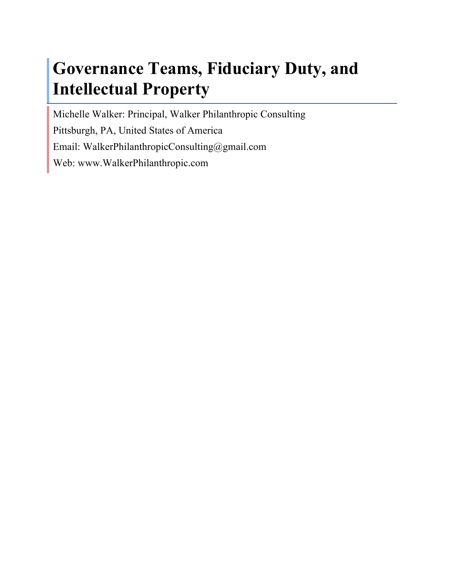# **Governance Teams, Fiduciary Duty, and Intellectual Property**

Michelle Walker: Principal, Walker Philanthropic Consulting Pittsburgh, PA, United States of America Email: WalkerPhilanthropicConsulting@gmail.com Web: www.WalkerPhilanthropic.com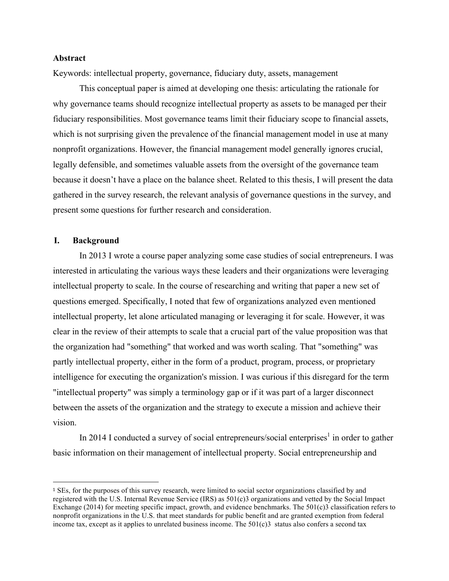## **Abstract**

Keywords: intellectual property, governance, fiduciary duty, assets, management

This conceptual paper is aimed at developing one thesis: articulating the rationale for why governance teams should recognize intellectual property as assets to be managed per their fiduciary responsibilities. Most governance teams limit their fiduciary scope to financial assets, which is not surprising given the prevalence of the financial management model in use at many nonprofit organizations. However, the financial management model generally ignores crucial, legally defensible, and sometimes valuable assets from the oversight of the governance team because it doesn't have a place on the balance sheet. Related to this thesis, I will present the data gathered in the survey research, the relevant analysis of governance questions in the survey, and present some questions for further research and consideration.

## **I. Background**

 

In 2013 I wrote a course paper analyzing some case studies of social entrepreneurs. I was interested in articulating the various ways these leaders and their organizations were leveraging intellectual property to scale. In the course of researching and writing that paper a new set of questions emerged. Specifically, I noted that few of organizations analyzed even mentioned intellectual property, let alone articulated managing or leveraging it for scale. However, it was clear in the review of their attempts to scale that a crucial part of the value proposition was that the organization had "something" that worked and was worth scaling. That "something" was partly intellectual property, either in the form of a product, program, process, or proprietary intelligence for executing the organization's mission. I was curious if this disregard for the term "intellectual property" was simply a terminology gap or if it was part of a larger disconnect between the assets of the organization and the strategy to execute a mission and achieve their vision.

In 2014 I conducted a survey of social entrepreneurs/social enterprises<sup>1</sup> in order to gather basic information on their management of intellectual property. Social entrepreneurship and

<sup>1</sup> SEs, for the purposes of this survey research, were limited to social sector organizations classified by and registered with the U.S. Internal Revenue Service (IRS) as 501(c)3 organizations and vetted by the Social Impact Exchange (2014) for meeting specific impact, growth, and evidence benchmarks. The 501(c)3 classification refers to nonprofit organizations in the U.S. that meet standards for public benefit and are granted exemption from federal income tax, except as it applies to unrelated business income. The 501(c)3 status also confers a second tax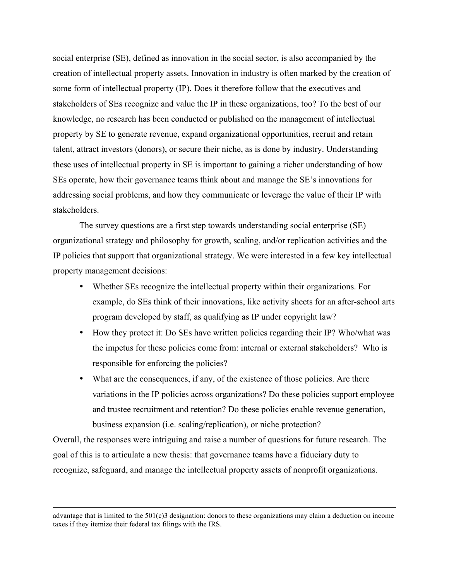social enterprise (SE), defined as innovation in the social sector, is also accompanied by the creation of intellectual property assets. Innovation in industry is often marked by the creation of some form of intellectual property (IP). Does it therefore follow that the executives and stakeholders of SEs recognize and value the IP in these organizations, too? To the best of our knowledge, no research has been conducted or published on the management of intellectual property by SE to generate revenue, expand organizational opportunities, recruit and retain talent, attract investors (donors), or secure their niche, as is done by industry. Understanding these uses of intellectual property in SE is important to gaining a richer understanding of how SEs operate, how their governance teams think about and manage the SE's innovations for addressing social problems, and how they communicate or leverage the value of their IP with stakeholders.

The survey questions are a first step towards understanding social enterprise (SE) organizational strategy and philosophy for growth, scaling, and/or replication activities and the IP policies that support that organizational strategy. We were interested in a few key intellectual property management decisions:

- Whether SEs recognize the intellectual property within their organizations. For example, do SEs think of their innovations, like activity sheets for an after-school arts program developed by staff, as qualifying as IP under copyright law?
- How they protect it: Do SEs have written policies regarding their IP? Who/what was the impetus for these policies come from: internal or external stakeholders? Who is responsible for enforcing the policies?
- What are the consequences, if any, of the existence of those policies. Are there variations in the IP policies across organizations? Do these policies support employee and trustee recruitment and retention? Do these policies enable revenue generation, business expansion (i.e. scaling/replication), or niche protection?

Overall, the responses were intriguing and raise a number of questions for future research. The goal of this is to articulate a new thesis: that governance teams have a fiduciary duty to recognize, safeguard, and manage the intellectual property assets of nonprofit organizations.

<sup>&</sup>lt;u> 1989 - Andrea San Andrea San Andrea San Andrea San Andrea San Andrea San Andrea San Andrea San Andrea San An</u> advantage that is limited to the 501(c)3 designation: donors to these organizations may claim a deduction on income taxes if they itemize their federal tax filings with the IRS.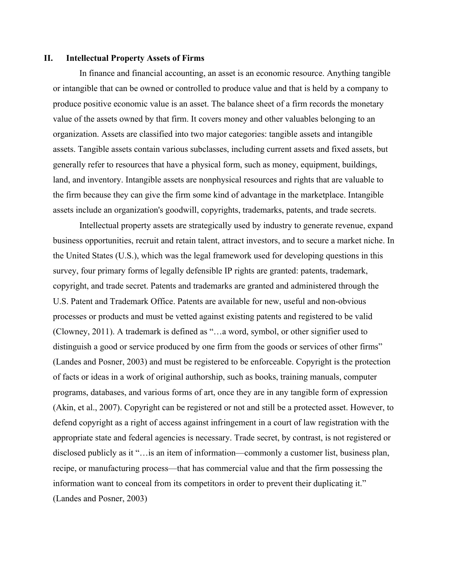#### **II. Intellectual Property Assets of Firms**

In finance and financial accounting, an asset is an economic resource. Anything tangible or intangible that can be owned or controlled to produce value and that is held by a company to produce positive economic value is an asset. The balance sheet of a firm records the monetary value of the assets owned by that firm. It covers money and other valuables belonging to an organization. Assets are classified into two major categories: tangible assets and intangible assets. Tangible assets contain various subclasses, including current assets and fixed assets, but generally refer to resources that have a physical form, such as money, equipment, buildings, land, and inventory. Intangible assets are nonphysical resources and rights that are valuable to the firm because they can give the firm some kind of advantage in the marketplace. Intangible assets include an organization's goodwill, copyrights, trademarks, patents, and trade secrets.

Intellectual property assets are strategically used by industry to generate revenue, expand business opportunities, recruit and retain talent, attract investors, and to secure a market niche. In the United States (U.S.), which was the legal framework used for developing questions in this survey, four primary forms of legally defensible IP rights are granted: patents, trademark, copyright, and trade secret. Patents and trademarks are granted and administered through the U.S. Patent and Trademark Office. Patents are available for new, useful and non-obvious processes or products and must be vetted against existing patents and registered to be valid (Clowney, 2011). A trademark is defined as "…a word, symbol, or other signifier used to distinguish a good or service produced by one firm from the goods or services of other firms" (Landes and Posner, 2003) and must be registered to be enforceable. Copyright is the protection of facts or ideas in a work of original authorship, such as books, training manuals, computer programs, databases, and various forms of art, once they are in any tangible form of expression (Akin, et al., 2007). Copyright can be registered or not and still be a protected asset. However, to defend copyright as a right of access against infringement in a court of law registration with the appropriate state and federal agencies is necessary. Trade secret, by contrast, is not registered or disclosed publicly as it "…is an item of information—commonly a customer list, business plan, recipe, or manufacturing process—that has commercial value and that the firm possessing the information want to conceal from its competitors in order to prevent their duplicating it." (Landes and Posner, 2003)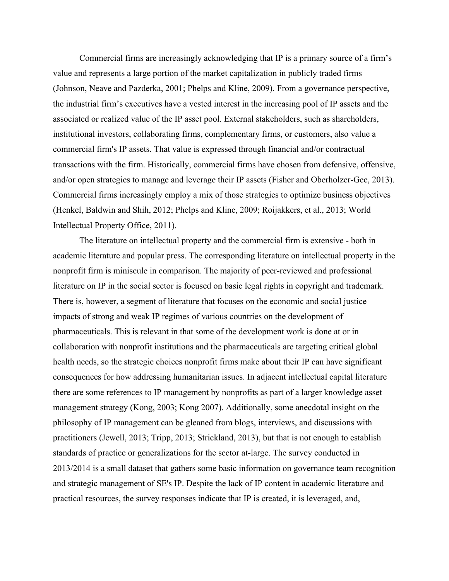Commercial firms are increasingly acknowledging that IP is a primary source of a firm's value and represents a large portion of the market capitalization in publicly traded firms (Johnson, Neave and Pazderka, 2001; Phelps and Kline, 2009). From a governance perspective, the industrial firm's executives have a vested interest in the increasing pool of IP assets and the associated or realized value of the IP asset pool. External stakeholders, such as shareholders, institutional investors, collaborating firms, complementary firms, or customers, also value a commercial firm's IP assets. That value is expressed through financial and/or contractual transactions with the firm. Historically, commercial firms have chosen from defensive, offensive, and/or open strategies to manage and leverage their IP assets (Fisher and Oberholzer-Gee, 2013). Commercial firms increasingly employ a mix of those strategies to optimize business objectives (Henkel, Baldwin and Shih, 2012; Phelps and Kline, 2009; Roijakkers, et al., 2013; World Intellectual Property Office, 2011).

The literature on intellectual property and the commercial firm is extensive - both in academic literature and popular press. The corresponding literature on intellectual property in the nonprofit firm is miniscule in comparison. The majority of peer-reviewed and professional literature on IP in the social sector is focused on basic legal rights in copyright and trademark. There is, however, a segment of literature that focuses on the economic and social justice impacts of strong and weak IP regimes of various countries on the development of pharmaceuticals. This is relevant in that some of the development work is done at or in collaboration with nonprofit institutions and the pharmaceuticals are targeting critical global health needs, so the strategic choices nonprofit firms make about their IP can have significant consequences for how addressing humanitarian issues. In adjacent intellectual capital literature there are some references to IP management by nonprofits as part of a larger knowledge asset management strategy (Kong, 2003; Kong 2007). Additionally, some anecdotal insight on the philosophy of IP management can be gleaned from blogs, interviews, and discussions with practitioners (Jewell, 2013; Tripp, 2013; Strickland, 2013), but that is not enough to establish standards of practice or generalizations for the sector at-large. The survey conducted in 2013/2014 is a small dataset that gathers some basic information on governance team recognition and strategic management of SE's IP. Despite the lack of IP content in academic literature and practical resources, the survey responses indicate that IP is created, it is leveraged, and,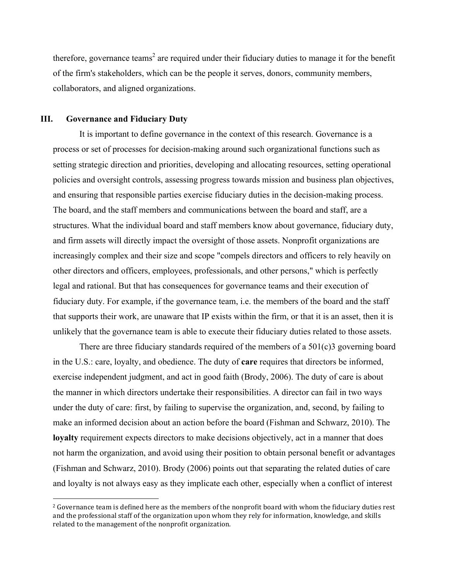therefore, governance teams<sup>2</sup> are required under their fiduciary duties to manage it for the benefit of the firm's stakeholders, which can be the people it serves, donors, community members, collaborators, and aligned organizations.

#### **III. Governance and Fiduciary Duty**

 

It is important to define governance in the context of this research. Governance is a process or set of processes for decision-making around such organizational functions such as setting strategic direction and priorities, developing and allocating resources, setting operational policies and oversight controls, assessing progress towards mission and business plan objectives, and ensuring that responsible parties exercise fiduciary duties in the decision-making process. The board, and the staff members and communications between the board and staff, are a structures. What the individual board and staff members know about governance, fiduciary duty, and firm assets will directly impact the oversight of those assets. Nonprofit organizations are increasingly complex and their size and scope "compels directors and officers to rely heavily on other directors and officers, employees, professionals, and other persons," which is perfectly legal and rational. But that has consequences for governance teams and their execution of fiduciary duty. For example, if the governance team, i.e. the members of the board and the staff that supports their work, are unaware that IP exists within the firm, or that it is an asset, then it is unlikely that the governance team is able to execute their fiduciary duties related to those assets.

There are three fiduciary standards required of the members of a 501(c)3 governing board in the U.S.: care, loyalty, and obedience. The duty of **care** requires that directors be informed, exercise independent judgment, and act in good faith (Brody, 2006). The duty of care is about the manner in which directors undertake their responsibilities. A director can fail in two ways under the duty of care: first, by failing to supervise the organization, and, second, by failing to make an informed decision about an action before the board (Fishman and Schwarz, 2010). The **loyalty** requirement expects directors to make decisions objectively, act in a manner that does not harm the organization, and avoid using their position to obtain personal benefit or advantages (Fishman and Schwarz, 2010). Brody (2006) points out that separating the related duties of care and loyalty is not always easy as they implicate each other, especially when a conflict of interest

<sup>&</sup>lt;sup>2</sup> Governance team is defined here as the members of the nonprofit board with whom the fiduciary duties rest and the professional staff of the organization upon whom they rely for information, knowledge, and skills related to the management of the nonprofit organization.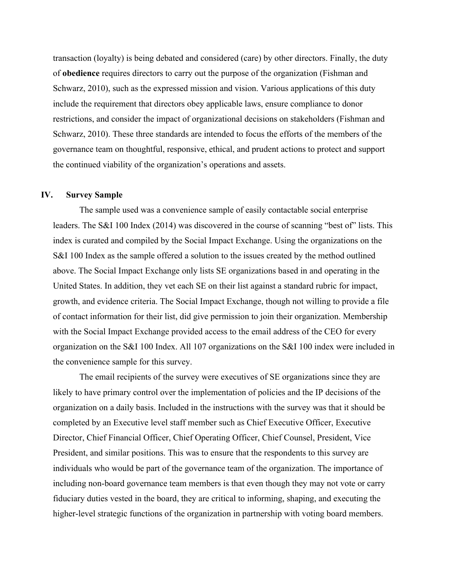transaction (loyalty) is being debated and considered (care) by other directors. Finally, the duty of **obedience** requires directors to carry out the purpose of the organization (Fishman and Schwarz, 2010), such as the expressed mission and vision. Various applications of this duty include the requirement that directors obey applicable laws, ensure compliance to donor restrictions, and consider the impact of organizational decisions on stakeholders (Fishman and Schwarz, 2010). These three standards are intended to focus the efforts of the members of the governance team on thoughtful, responsive, ethical, and prudent actions to protect and support the continued viability of the organization's operations and assets.

## **IV. Survey Sample**

The sample used was a convenience sample of easily contactable social enterprise leaders. The S&I 100 Index (2014) was discovered in the course of scanning "best of" lists. This index is curated and compiled by the Social Impact Exchange. Using the organizations on the S&I 100 Index as the sample offered a solution to the issues created by the method outlined above. The Social Impact Exchange only lists SE organizations based in and operating in the United States. In addition, they vet each SE on their list against a standard rubric for impact, growth, and evidence criteria. The Social Impact Exchange, though not willing to provide a file of contact information for their list, did give permission to join their organization. Membership with the Social Impact Exchange provided access to the email address of the CEO for every organization on the S&I 100 Index. All 107 organizations on the S&I 100 index were included in the convenience sample for this survey.

The email recipients of the survey were executives of SE organizations since they are likely to have primary control over the implementation of policies and the IP decisions of the organization on a daily basis. Included in the instructions with the survey was that it should be completed by an Executive level staff member such as Chief Executive Officer, Executive Director, Chief Financial Officer, Chief Operating Officer, Chief Counsel, President, Vice President, and similar positions. This was to ensure that the respondents to this survey are individuals who would be part of the governance team of the organization. The importance of including non-board governance team members is that even though they may not vote or carry fiduciary duties vested in the board, they are critical to informing, shaping, and executing the higher-level strategic functions of the organization in partnership with voting board members.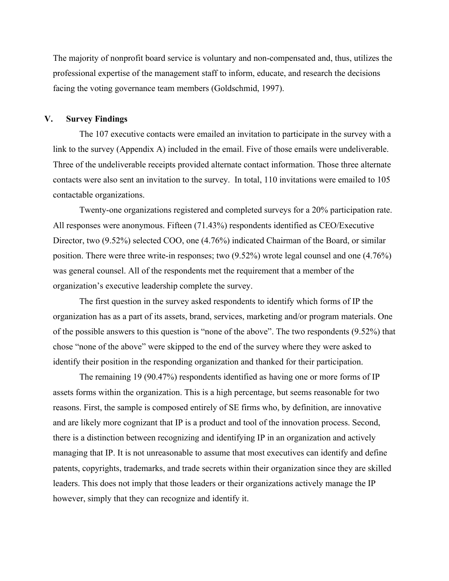The majority of nonprofit board service is voluntary and non-compensated and, thus, utilizes the professional expertise of the management staff to inform, educate, and research the decisions facing the voting governance team members (Goldschmid, 1997).

#### **V. Survey Findings**

The 107 executive contacts were emailed an invitation to participate in the survey with a link to the survey (Appendix A) included in the email. Five of those emails were undeliverable. Three of the undeliverable receipts provided alternate contact information. Those three alternate contacts were also sent an invitation to the survey. In total, 110 invitations were emailed to 105 contactable organizations.

Twenty-one organizations registered and completed surveys for a 20% participation rate. All responses were anonymous. Fifteen (71.43%) respondents identified as CEO/Executive Director, two (9.52%) selected COO, one (4.76%) indicated Chairman of the Board, or similar position. There were three write-in responses; two (9.52%) wrote legal counsel and one (4.76%) was general counsel. All of the respondents met the requirement that a member of the organization's executive leadership complete the survey.

The first question in the survey asked respondents to identify which forms of IP the organization has as a part of its assets, brand, services, marketing and/or program materials. One of the possible answers to this question is "none of the above". The two respondents (9.52%) that chose "none of the above" were skipped to the end of the survey where they were asked to identify their position in the responding organization and thanked for their participation.

The remaining 19 (90.47%) respondents identified as having one or more forms of IP assets forms within the organization. This is a high percentage, but seems reasonable for two reasons. First, the sample is composed entirely of SE firms who, by definition, are innovative and are likely more cognizant that IP is a product and tool of the innovation process. Second, there is a distinction between recognizing and identifying IP in an organization and actively managing that IP. It is not unreasonable to assume that most executives can identify and define patents, copyrights, trademarks, and trade secrets within their organization since they are skilled leaders. This does not imply that those leaders or their organizations actively manage the IP however, simply that they can recognize and identify it.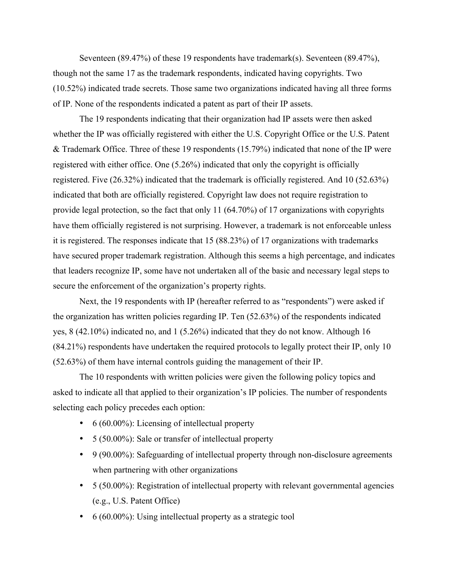Seventeen (89.47%) of these 19 respondents have trademark(s). Seventeen (89.47%), though not the same 17 as the trademark respondents, indicated having copyrights. Two (10.52%) indicated trade secrets. Those same two organizations indicated having all three forms of IP. None of the respondents indicated a patent as part of their IP assets.

The 19 respondents indicating that their organization had IP assets were then asked whether the IP was officially registered with either the U.S. Copyright Office or the U.S. Patent & Trademark Office. Three of these 19 respondents (15.79%) indicated that none of the IP were registered with either office. One (5.26%) indicated that only the copyright is officially registered. Five (26.32%) indicated that the trademark is officially registered. And 10 (52.63%) indicated that both are officially registered. Copyright law does not require registration to provide legal protection, so the fact that only 11 (64.70%) of 17 organizations with copyrights have them officially registered is not surprising. However, a trademark is not enforceable unless it is registered. The responses indicate that 15 (88.23%) of 17 organizations with trademarks have secured proper trademark registration. Although this seems a high percentage, and indicates that leaders recognize IP, some have not undertaken all of the basic and necessary legal steps to secure the enforcement of the organization's property rights.

Next, the 19 respondents with IP (hereafter referred to as "respondents") were asked if the organization has written policies regarding IP. Ten (52.63%) of the respondents indicated yes, 8 (42.10%) indicated no, and 1 (5.26%) indicated that they do not know. Although 16 (84.21%) respondents have undertaken the required protocols to legally protect their IP, only 10 (52.63%) of them have internal controls guiding the management of their IP.

The 10 respondents with written policies were given the following policy topics and asked to indicate all that applied to their organization's IP policies. The number of respondents selecting each policy precedes each option:

- 6 (60.00%): Licensing of intellectual property
- 5 (50.00%): Sale or transfer of intellectual property
- 9 (90.00%): Safeguarding of intellectual property through non-disclosure agreements when partnering with other organizations
- 5 (50.00%): Registration of intellectual property with relevant governmental agencies (e.g., U.S. Patent Office)
- 6 (60.00%): Using intellectual property as a strategic tool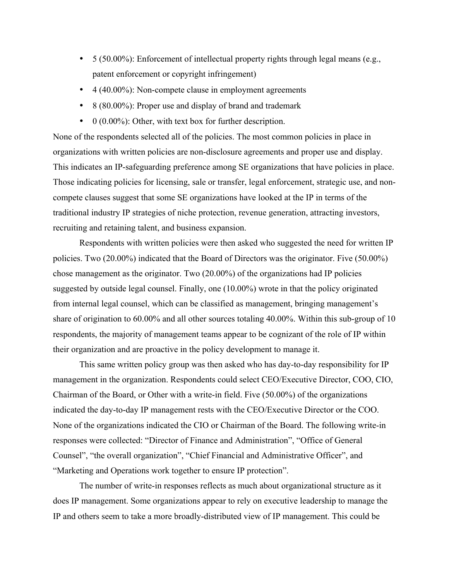- 5 (50.00%): Enforcement of intellectual property rights through legal means (e.g., patent enforcement or copyright infringement)
- 4 (40.00%): Non-compete clause in employment agreements
- 8 (80.00%): Proper use and display of brand and trademark
- $\bullet$  0 (0.00%): Other, with text box for further description.

None of the respondents selected all of the policies. The most common policies in place in organizations with written policies are non-disclosure agreements and proper use and display. This indicates an IP-safeguarding preference among SE organizations that have policies in place. Those indicating policies for licensing, sale or transfer, legal enforcement, strategic use, and noncompete clauses suggest that some SE organizations have looked at the IP in terms of the traditional industry IP strategies of niche protection, revenue generation, attracting investors, recruiting and retaining talent, and business expansion.

Respondents with written policies were then asked who suggested the need for written IP policies. Two (20.00%) indicated that the Board of Directors was the originator. Five (50.00%) chose management as the originator. Two (20.00%) of the organizations had IP policies suggested by outside legal counsel. Finally, one (10.00%) wrote in that the policy originated from internal legal counsel, which can be classified as management, bringing management's share of origination to 60.00% and all other sources totaling 40.00%. Within this sub-group of 10 respondents, the majority of management teams appear to be cognizant of the role of IP within their organization and are proactive in the policy development to manage it.

This same written policy group was then asked who has day-to-day responsibility for IP management in the organization. Respondents could select CEO/Executive Director, COO, CIO, Chairman of the Board, or Other with a write-in field. Five (50.00%) of the organizations indicated the day-to-day IP management rests with the CEO/Executive Director or the COO. None of the organizations indicated the CIO or Chairman of the Board. The following write-in responses were collected: "Director of Finance and Administration", "Office of General Counsel", "the overall organization", "Chief Financial and Administrative Officer", and "Marketing and Operations work together to ensure IP protection".

The number of write-in responses reflects as much about organizational structure as it does IP management. Some organizations appear to rely on executive leadership to manage the IP and others seem to take a more broadly-distributed view of IP management. This could be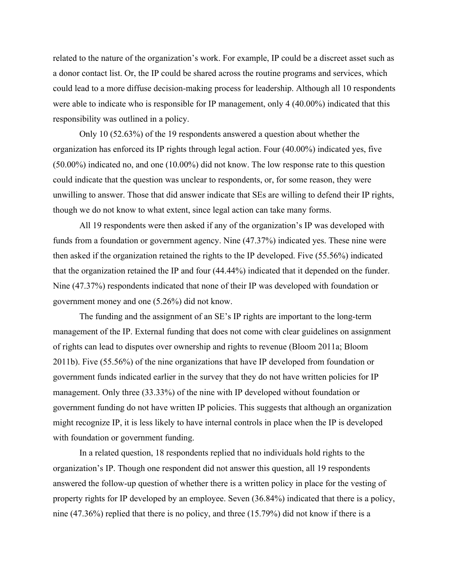related to the nature of the organization's work. For example, IP could be a discreet asset such as a donor contact list. Or, the IP could be shared across the routine programs and services, which could lead to a more diffuse decision-making process for leadership. Although all 10 respondents were able to indicate who is responsible for IP management, only 4 (40.00%) indicated that this responsibility was outlined in a policy.

Only 10 (52.63%) of the 19 respondents answered a question about whether the organization has enforced its IP rights through legal action. Four (40.00%) indicated yes, five (50.00%) indicated no, and one (10.00%) did not know. The low response rate to this question could indicate that the question was unclear to respondents, or, for some reason, they were unwilling to answer. Those that did answer indicate that SEs are willing to defend their IP rights, though we do not know to what extent, since legal action can take many forms.

All 19 respondents were then asked if any of the organization's IP was developed with funds from a foundation or government agency. Nine (47.37%) indicated yes. These nine were then asked if the organization retained the rights to the IP developed. Five (55.56%) indicated that the organization retained the IP and four (44.44%) indicated that it depended on the funder. Nine (47.37%) respondents indicated that none of their IP was developed with foundation or government money and one (5.26%) did not know.

The funding and the assignment of an SE's IP rights are important to the long-term management of the IP. External funding that does not come with clear guidelines on assignment of rights can lead to disputes over ownership and rights to revenue (Bloom 2011a; Bloom 2011b). Five (55.56%) of the nine organizations that have IP developed from foundation or government funds indicated earlier in the survey that they do not have written policies for IP management. Only three (33.33%) of the nine with IP developed without foundation or government funding do not have written IP policies. This suggests that although an organization might recognize IP, it is less likely to have internal controls in place when the IP is developed with foundation or government funding.

In a related question, 18 respondents replied that no individuals hold rights to the organization's IP. Though one respondent did not answer this question, all 19 respondents answered the follow-up question of whether there is a written policy in place for the vesting of property rights for IP developed by an employee. Seven (36.84%) indicated that there is a policy, nine (47.36%) replied that there is no policy, and three (15.79%) did not know if there is a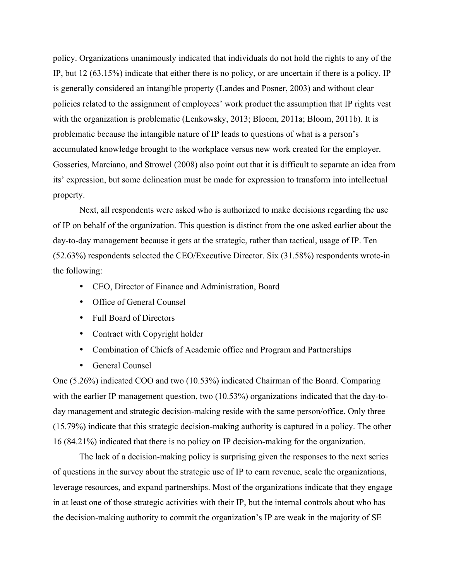policy. Organizations unanimously indicated that individuals do not hold the rights to any of the IP, but 12 (63.15%) indicate that either there is no policy, or are uncertain if there is a policy. IP is generally considered an intangible property (Landes and Posner, 2003) and without clear policies related to the assignment of employees' work product the assumption that IP rights vest with the organization is problematic (Lenkowsky, 2013; Bloom, 2011a; Bloom, 2011b). It is problematic because the intangible nature of IP leads to questions of what is a person's accumulated knowledge brought to the workplace versus new work created for the employer. Gosseries, Marciano, and Strowel (2008) also point out that it is difficult to separate an idea from its' expression, but some delineation must be made for expression to transform into intellectual property.

Next, all respondents were asked who is authorized to make decisions regarding the use of IP on behalf of the organization. This question is distinct from the one asked earlier about the day-to-day management because it gets at the strategic, rather than tactical, usage of IP. Ten (52.63%) respondents selected the CEO/Executive Director. Six (31.58%) respondents wrote-in the following:

- CEO, Director of Finance and Administration, Board
- Office of General Counsel
- Full Board of Directors
- Contract with Copyright holder
- Combination of Chiefs of Academic office and Program and Partnerships
- General Counsel

One (5.26%) indicated COO and two (10.53%) indicated Chairman of the Board. Comparing with the earlier IP management question, two (10.53%) organizations indicated that the day-today management and strategic decision-making reside with the same person/office. Only three (15.79%) indicate that this strategic decision-making authority is captured in a policy. The other 16 (84.21%) indicated that there is no policy on IP decision-making for the organization.

The lack of a decision-making policy is surprising given the responses to the next series of questions in the survey about the strategic use of IP to earn revenue, scale the organizations, leverage resources, and expand partnerships. Most of the organizations indicate that they engage in at least one of those strategic activities with their IP, but the internal controls about who has the decision-making authority to commit the organization's IP are weak in the majority of SE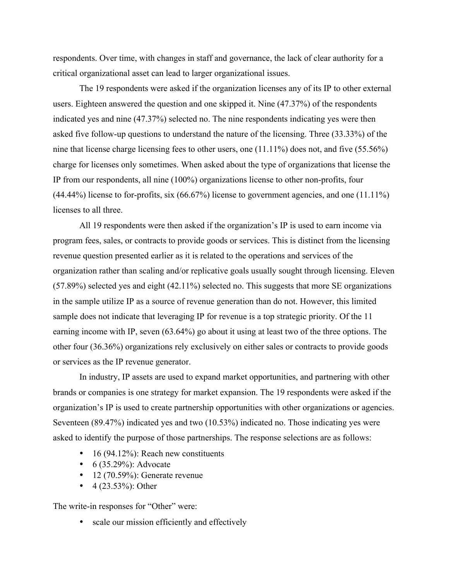respondents. Over time, with changes in staff and governance, the lack of clear authority for a critical organizational asset can lead to larger organizational issues.

The 19 respondents were asked if the organization licenses any of its IP to other external users. Eighteen answered the question and one skipped it. Nine (47.37%) of the respondents indicated yes and nine (47.37%) selected no. The nine respondents indicating yes were then asked five follow-up questions to understand the nature of the licensing. Three (33.33%) of the nine that license charge licensing fees to other users, one (11.11%) does not, and five (55.56%) charge for licenses only sometimes. When asked about the type of organizations that license the IP from our respondents, all nine (100%) organizations license to other non-profits, four (44.44%) license to for-profits, six (66.67%) license to government agencies, and one (11.11%) licenses to all three.

All 19 respondents were then asked if the organization's IP is used to earn income via program fees, sales, or contracts to provide goods or services. This is distinct from the licensing revenue question presented earlier as it is related to the operations and services of the organization rather than scaling and/or replicative goals usually sought through licensing. Eleven (57.89%) selected yes and eight (42.11%) selected no. This suggests that more SE organizations in the sample utilize IP as a source of revenue generation than do not. However, this limited sample does not indicate that leveraging IP for revenue is a top strategic priority. Of the 11 earning income with IP, seven (63.64%) go about it using at least two of the three options. The other four (36.36%) organizations rely exclusively on either sales or contracts to provide goods or services as the IP revenue generator.

In industry, IP assets are used to expand market opportunities, and partnering with other brands or companies is one strategy for market expansion. The 19 respondents were asked if the organization's IP is used to create partnership opportunities with other organizations or agencies. Seventeen (89.47%) indicated yes and two (10.53%) indicated no. Those indicating yes were asked to identify the purpose of those partnerships. The response selections are as follows:

- 16 (94.12%): Reach new constituents
- $6 (35.29\%)$ : Advocate
- $\cdot$  12 (70.59%): Generate revenue
- $4 (23.53\%)$ : Other

The write-in responses for "Other" were:

• scale our mission efficiently and effectively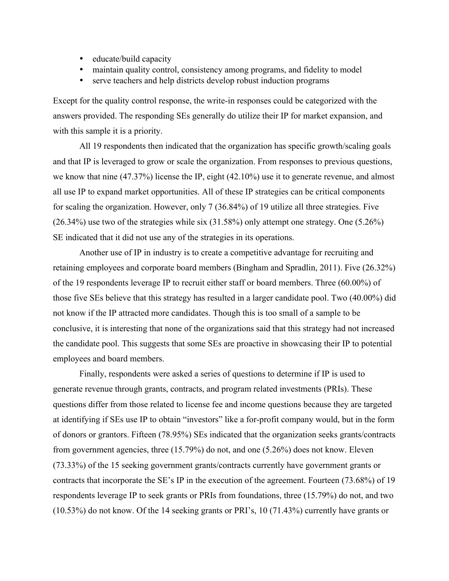- educate/build capacity
- maintain quality control, consistency among programs, and fidelity to model
- serve teachers and help districts develop robust induction programs

Except for the quality control response, the write-in responses could be categorized with the answers provided. The responding SEs generally do utilize their IP for market expansion, and with this sample it is a priority.

All 19 respondents then indicated that the organization has specific growth/scaling goals and that IP is leveraged to grow or scale the organization. From responses to previous questions, we know that nine (47.37%) license the IP, eight (42.10%) use it to generate revenue, and almost all use IP to expand market opportunities. All of these IP strategies can be critical components for scaling the organization. However, only 7 (36.84%) of 19 utilize all three strategies. Five (26.34%) use two of the strategies while six (31.58%) only attempt one strategy. One (5.26%) SE indicated that it did not use any of the strategies in its operations.

Another use of IP in industry is to create a competitive advantage for recruiting and retaining employees and corporate board members (Bingham and Spradlin, 2011). Five (26.32%) of the 19 respondents leverage IP to recruit either staff or board members. Three (60.00%) of those five SEs believe that this strategy has resulted in a larger candidate pool. Two (40.00%) did not know if the IP attracted more candidates. Though this is too small of a sample to be conclusive, it is interesting that none of the organizations said that this strategy had not increased the candidate pool. This suggests that some SEs are proactive in showcasing their IP to potential employees and board members.

Finally, respondents were asked a series of questions to determine if IP is used to generate revenue through grants, contracts, and program related investments (PRIs). These questions differ from those related to license fee and income questions because they are targeted at identifying if SEs use IP to obtain "investors" like a for-profit company would, but in the form of donors or grantors. Fifteen (78.95%) SEs indicated that the organization seeks grants/contracts from government agencies, three (15.79%) do not, and one (5.26%) does not know. Eleven (73.33%) of the 15 seeking government grants/contracts currently have government grants or contracts that incorporate the SE's IP in the execution of the agreement. Fourteen (73.68%) of 19 respondents leverage IP to seek grants or PRIs from foundations, three (15.79%) do not, and two (10.53%) do not know. Of the 14 seeking grants or PRI's, 10 (71.43%) currently have grants or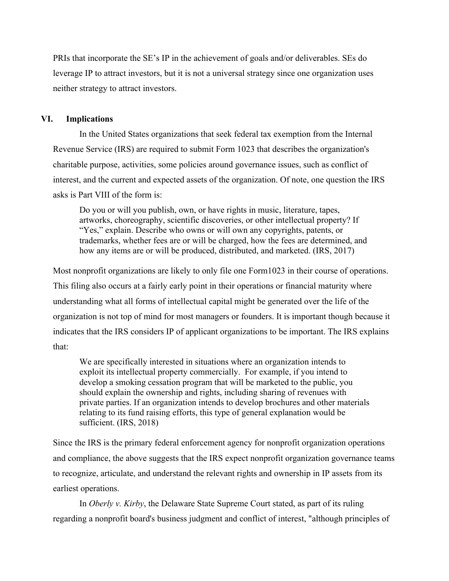PRIs that incorporate the SE's IP in the achievement of goals and/or deliverables. SEs do leverage IP to attract investors, but it is not a universal strategy since one organization uses neither strategy to attract investors.

# **VI. Implications**

In the United States organizations that seek federal tax exemption from the Internal Revenue Service (IRS) are required to submit Form 1023 that describes the organization's charitable purpose, activities, some policies around governance issues, such as conflict of interest, and the current and expected assets of the organization. Of note, one question the IRS asks is Part VIII of the form is:

Do you or will you publish, own, or have rights in music, literature, tapes, artworks, choreography, scientific discoveries, or other intellectual property? If "Yes," explain. Describe who owns or will own any copyrights, patents, or trademarks, whether fees are or will be charged, how the fees are determined, and how any items are or will be produced, distributed, and marketed. (IRS, 2017)

Most nonprofit organizations are likely to only file one Form1023 in their course of operations. This filing also occurs at a fairly early point in their operations or financial maturity where understanding what all forms of intellectual capital might be generated over the life of the organization is not top of mind for most managers or founders. It is important though because it indicates that the IRS considers IP of applicant organizations to be important. The IRS explains that:

We are specifically interested in situations where an organization intends to exploit its intellectual property commercially. For example, if you intend to develop a smoking cessation program that will be marketed to the public, you should explain the ownership and rights, including sharing of revenues with private parties. If an organization intends to develop brochures and other materials relating to its fund raising efforts, this type of general explanation would be sufficient. (IRS, 2018)

Since the IRS is the primary federal enforcement agency for nonprofit organization operations and compliance, the above suggests that the IRS expect nonprofit organization governance teams to recognize, articulate, and understand the relevant rights and ownership in IP assets from its earliest operations.

In *Oberly v. Kirby*, the Delaware State Supreme Court stated, as part of its ruling regarding a nonprofit board's business judgment and conflict of interest, "although principles of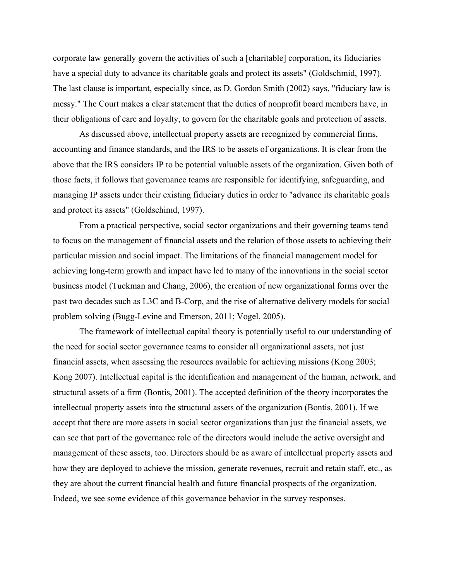corporate law generally govern the activities of such a [charitable] corporation, its fiduciaries have a special duty to advance its charitable goals and protect its assets" (Goldschmid, 1997). The last clause is important, especially since, as D. Gordon Smith (2002) says, "fiduciary law is messy." The Court makes a clear statement that the duties of nonprofit board members have, in their obligations of care and loyalty, to govern for the charitable goals and protection of assets.

As discussed above, intellectual property assets are recognized by commercial firms, accounting and finance standards, and the IRS to be assets of organizations. It is clear from the above that the IRS considers IP to be potential valuable assets of the organization. Given both of those facts, it follows that governance teams are responsible for identifying, safeguarding, and managing IP assets under their existing fiduciary duties in order to "advance its charitable goals and protect its assets" (Goldschimd, 1997).

From a practical perspective, social sector organizations and their governing teams tend to focus on the management of financial assets and the relation of those assets to achieving their particular mission and social impact. The limitations of the financial management model for achieving long-term growth and impact have led to many of the innovations in the social sector business model (Tuckman and Chang, 2006), the creation of new organizational forms over the past two decades such as L3C and B-Corp, and the rise of alternative delivery models for social problem solving (Bugg-Levine and Emerson, 2011; Vogel, 2005).

The framework of intellectual capital theory is potentially useful to our understanding of the need for social sector governance teams to consider all organizational assets, not just financial assets, when assessing the resources available for achieving missions (Kong 2003; Kong 2007). Intellectual capital is the identification and management of the human, network, and structural assets of a firm (Bontis, 2001). The accepted definition of the theory incorporates the intellectual property assets into the structural assets of the organization (Bontis, 2001). If we accept that there are more assets in social sector organizations than just the financial assets, we can see that part of the governance role of the directors would include the active oversight and management of these assets, too. Directors should be as aware of intellectual property assets and how they are deployed to achieve the mission, generate revenues, recruit and retain staff, etc., as they are about the current financial health and future financial prospects of the organization. Indeed, we see some evidence of this governance behavior in the survey responses.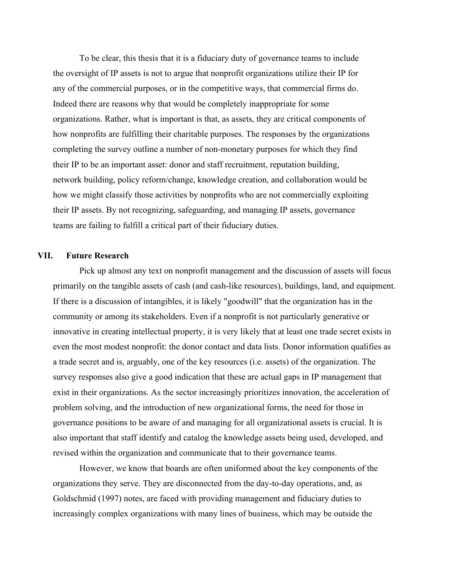To be clear, this thesis that it is a fiduciary duty of governance teams to include the oversight of IP assets is not to argue that nonprofit organizations utilize their IP for any of the commercial purposes, or in the competitive ways, that commercial firms do. Indeed there are reasons why that would be completely inappropriate for some organizations. Rather, what is important is that, as assets, they are critical components of how nonprofits are fulfilling their charitable purposes. The responses by the organizations completing the survey outline a number of non-monetary purposes for which they find their IP to be an important asset: donor and staff recruitment, reputation building, network building, policy reform/change, knowledge creation, and collaboration would be how we might classify those activities by nonprofits who are not commercially exploiting their IP assets. By not recognizing, safeguarding, and managing IP assets, governance teams are failing to fulfill a critical part of their fiduciary duties.

# **VII. Future Research**

Pick up almost any text on nonprofit management and the discussion of assets will focus primarily on the tangible assets of cash (and cash-like resources), buildings, land, and equipment. If there is a discussion of intangibles, it is likely "goodwill" that the organization has in the community or among its stakeholders. Even if a nonprofit is not particularly generative or innovative in creating intellectual property, it is very likely that at least one trade secret exists in even the most modest nonprofit: the donor contact and data lists. Donor information qualifies as a trade secret and is, arguably, one of the key resources (i.e. assets) of the organization. The survey responses also give a good indication that these are actual gaps in IP management that exist in their organizations. As the sector increasingly prioritizes innovation, the acceleration of problem solving, and the introduction of new organizational forms, the need for those in governance positions to be aware of and managing for all organizational assets is crucial. It is also important that staff identify and catalog the knowledge assets being used, developed, and revised within the organization and communicate that to their governance teams.

However, we know that boards are often uniformed about the key components of the organizations they serve. They are disconnected from the day-to-day operations, and, as Goldschmid (1997) notes, are faced with providing management and fiduciary duties to increasingly complex organizations with many lines of business, which may be outside the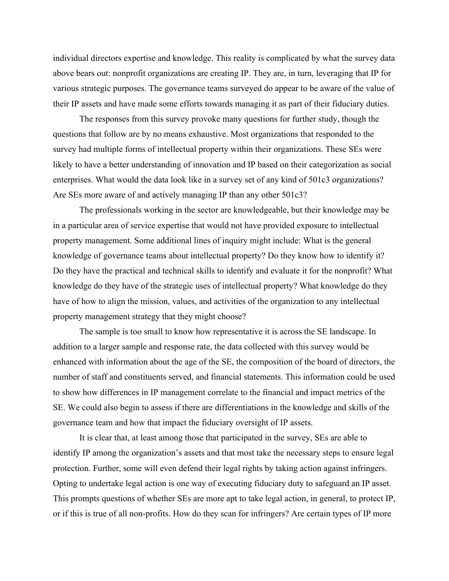individual directors expertise and knowledge. This reality is complicated by what the survey data above bears out: nonprofit organizations are creating IP. They are, in turn, leveraging that IP for various strategic purposes. The governance teams surveyed do appear to be aware of the value of their IP assets and have made some efforts towards managing it as part of their fiduciary duties.

The responses from this survey provoke many questions for further study, though the questions that follow are by no means exhaustive. Most organizations that responded to the survey had multiple forms of intellectual property within their organizations. These SEs were likely to have a better understanding of innovation and IP based on their categorization as social enterprises. What would the data look like in a survey set of any kind of 501c3 organizations? Are SEs more aware of and actively managing IP than any other 501c3?

The professionals working in the sector are knowledgeable, but their knowledge may be in a particular area of service expertise that would not have provided exposure to intellectual property management. Some additional lines of inquiry might include: What is the general knowledge of governance teams about intellectual property? Do they know how to identify it? Do they have the practical and technical skills to identify and evaluate it for the nonprofit? What knowledge do they have of the strategic uses of intellectual property? What knowledge do they have of how to align the mission, values, and activities of the organization to any intellectual property management strategy that they might choose?

The sample is too small to know how representative it is across the SE landscape. In addition to a larger sample and response rate, the data collected with this survey would be enhanced with information about the age of the SE, the composition of the board of directors, the number of staff and constituents served, and financial statements. This information could be used to show how differences in IP management correlate to the financial and impact metrics of the SE. We could also begin to assess if there are differentiations in the knowledge and skills of the governance team and how that impact the fiduciary oversight of IP assets.

It is clear that, at least among those that participated in the survey, SEs are able to identify IP among the organization's assets and that most take the necessary steps to ensure legal protection. Further, some will even defend their legal rights by taking action against infringers. Opting to undertake legal action is one way of executing fiduciary duty to safeguard an IP asset. This prompts questions of whether SEs are more apt to take legal action, in general, to protect IP, or if this is true of all non-profits. How do they scan for infringers? Are certain types of IP more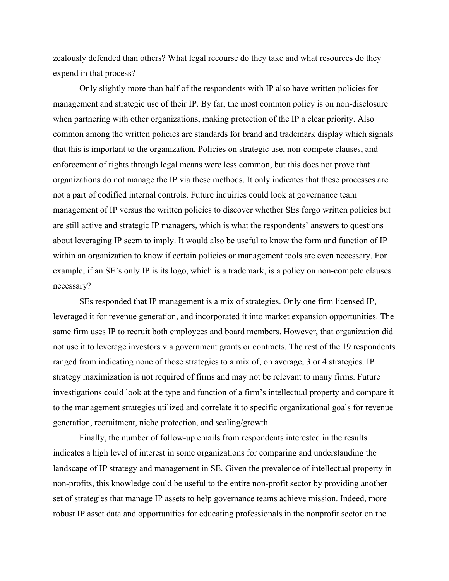zealously defended than others? What legal recourse do they take and what resources do they expend in that process?

Only slightly more than half of the respondents with IP also have written policies for management and strategic use of their IP. By far, the most common policy is on non-disclosure when partnering with other organizations, making protection of the IP a clear priority. Also common among the written policies are standards for brand and trademark display which signals that this is important to the organization. Policies on strategic use, non-compete clauses, and enforcement of rights through legal means were less common, but this does not prove that organizations do not manage the IP via these methods. It only indicates that these processes are not a part of codified internal controls. Future inquiries could look at governance team management of IP versus the written policies to discover whether SEs forgo written policies but are still active and strategic IP managers, which is what the respondents' answers to questions about leveraging IP seem to imply. It would also be useful to know the form and function of IP within an organization to know if certain policies or management tools are even necessary. For example, if an SE's only IP is its logo, which is a trademark, is a policy on non-compete clauses necessary?

SEs responded that IP management is a mix of strategies. Only one firm licensed IP, leveraged it for revenue generation, and incorporated it into market expansion opportunities. The same firm uses IP to recruit both employees and board members. However, that organization did not use it to leverage investors via government grants or contracts. The rest of the 19 respondents ranged from indicating none of those strategies to a mix of, on average, 3 or 4 strategies. IP strategy maximization is not required of firms and may not be relevant to many firms. Future investigations could look at the type and function of a firm's intellectual property and compare it to the management strategies utilized and correlate it to specific organizational goals for revenue generation, recruitment, niche protection, and scaling/growth.

Finally, the number of follow-up emails from respondents interested in the results indicates a high level of interest in some organizations for comparing and understanding the landscape of IP strategy and management in SE. Given the prevalence of intellectual property in non-profits, this knowledge could be useful to the entire non-profit sector by providing another set of strategies that manage IP assets to help governance teams achieve mission. Indeed, more robust IP asset data and opportunities for educating professionals in the nonprofit sector on the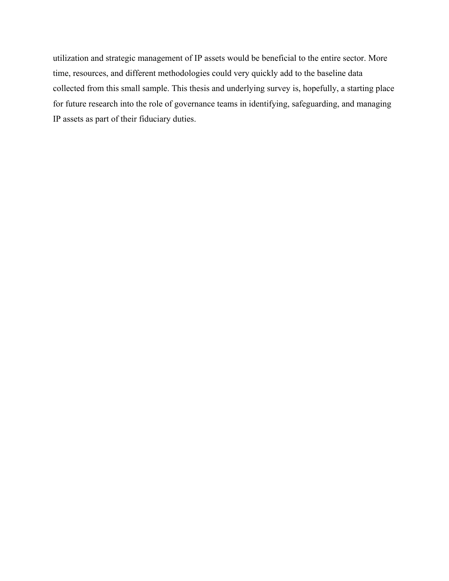utilization and strategic management of IP assets would be beneficial to the entire sector. More time, resources, and different methodologies could very quickly add to the baseline data collected from this small sample. This thesis and underlying survey is, hopefully, a starting place for future research into the role of governance teams in identifying, safeguarding, and managing IP assets as part of their fiduciary duties.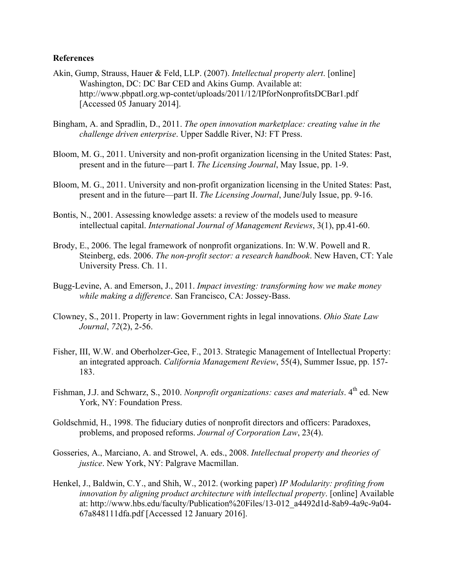## **References**

- Akin, Gump, Strauss, Hauer & Feld, LLP. (2007). *Intellectual property alert*. [online] Washington, DC: DC Bar CED and Akins Gump. Available at: http://www.pbpatl.org.wp-contet/uploads/2011/12/IPforNonprofitsDCBar1.pdf [Accessed 05 January 2014].
- Bingham, A. and Spradlin, D., 2011. *The open innovation marketplace: creating value in the challenge driven enterprise*. Upper Saddle River, NJ: FT Press.
- Bloom, M. G., 2011. University and non-profit organization licensing in the United States: Past, present and in the future—part I. *The Licensing Journal*, May Issue, pp. 1-9.
- Bloom, M. G., 2011. University and non-profit organization licensing in the United States: Past, present and in the future—part II. *The Licensing Journal*, June/July Issue, pp. 9-16.
- Bontis, N., 2001. Assessing knowledge assets: a review of the models used to measure intellectual capital. *International Journal of Management Reviews*, 3(1), pp.41-60.
- Brody, E., 2006. The legal framework of nonprofit organizations. In: W.W. Powell and R. Steinberg, eds. 2006. *The non-profit sector: a research handbook*. New Haven, CT: Yale University Press. Ch. 11.
- Bugg-Levine, A. and Emerson, J., 2011. *Impact investing: transforming how we make money while making a difference*. San Francisco, CA: Jossey-Bass.
- Clowney, S., 2011. Property in law: Government rights in legal innovations. *Ohio State Law Journal*, *72*(2), 2-56.
- Fisher, III, W.W. and Oberholzer-Gee, F., 2013. Strategic Management of Intellectual Property: an integrated approach. *California Management Review*, 55(4), Summer Issue, pp. 157- 183.
- Fishman, J.J. and Schwarz, S., 2010. *Nonprofit organizations: cases and materials*. 4<sup>th</sup> ed. New York, NY: Foundation Press.
- Goldschmid, H., 1998. The fiduciary duties of nonprofit directors and officers: Paradoxes, problems, and proposed reforms. *Journal of Corporation Law*, 23(4).
- Gosseries, A., Marciano, A. and Strowel, A. eds., 2008. *Intellectual property and theories of justice*. New York, NY: Palgrave Macmillan.
- Henkel, J., Baldwin, C.Y., and Shih, W., 2012. (working paper) *IP Modularity: profiting from innovation by aligning product architecture with intellectual property*. [online] Available at: http://www.hbs.edu/faculty/Publication%20Files/13-012\_a4492d1d-8ab9-4a9c-9a04- 67a848111dfa.pdf [Accessed 12 January 2016].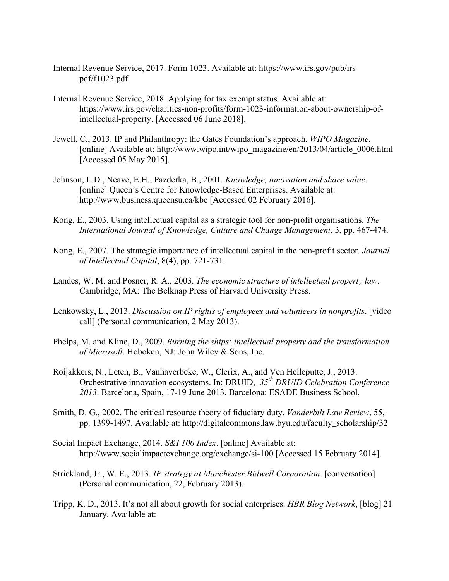- Internal Revenue Service, 2017. Form 1023. Available at: https://www.irs.gov/pub/irspdf/f1023.pdf
- Internal Revenue Service, 2018. Applying for tax exempt status. Available at: https://www.irs.gov/charities-non-profits/form-1023-information-about-ownership-ofintellectual-property. [Accessed 06 June 2018].
- Jewell, C., 2013. IP and Philanthropy: the Gates Foundation's approach. *WIPO Magazine*, [online] Available at: http://www.wipo.int/wipo\_magazine/en/2013/04/article\_0006.html [Accessed 05 May 2015].
- Johnson, L.D., Neave, E.H., Pazderka, B., 2001. *Knowledge, innovation and share value*. [online] Queen's Centre for Knowledge-Based Enterprises. Available at: http://www.business.queensu.ca/kbe [Accessed 02 February 2016].
- Kong, E., 2003. Using intellectual capital as a strategic tool for non-profit organisations. *The International Journal of Knowledge, Culture and Change Management*, 3, pp. 467-474.
- Kong, E., 2007. The strategic importance of intellectual capital in the non-profit sector. *Journal of Intellectual Capital*, 8(4), pp. 721-731.
- Landes, W. M. and Posner, R. A., 2003. *The economic structure of intellectual property law*. Cambridge, MA: The Belknap Press of Harvard University Press.
- Lenkowsky, L., 2013. *Discussion on IP rights of employees and volunteers in nonprofits*. [video call] (Personal communication, 2 May 2013).
- Phelps, M. and Kline, D., 2009. *Burning the ships: intellectual property and the transformation of Microsoft*. Hoboken, NJ: John Wiley & Sons, Inc.
- Roijakkers, N., Leten, B., Vanhaverbeke, W., Clerix, A., and Ven Helleputte, J., 2013. Orchestrative innovation ecosystems. In: DRUID, *35th DRUID Celebration Conference 2013*. Barcelona, Spain, 17-19 June 2013. Barcelona: ESADE Business School.
- Smith, D. G., 2002. The critical resource theory of fiduciary duty. *Vanderbilt Law Review*, 55, pp. 1399-1497. Available at: http://digitalcommons.law.byu.edu/faculty\_scholarship/32
- Social Impact Exchange, 2014. *S&I 100 Index*. [online] Available at: http://www.socialimpactexchange.org/exchange/si-100 [Accessed 15 February 2014].
- Strickland, Jr., W. E., 2013. *IP strategy at Manchester Bidwell Corporation*. [conversation] (Personal communication, 22, February 2013).
- Tripp, K. D., 2013. It's not all about growth for social enterprises. *HBR Blog Network*, [blog] 21 January. Available at: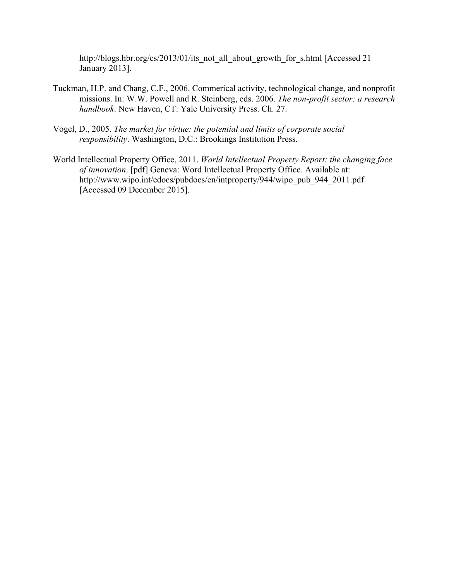http://blogs.hbr.org/cs/2013/01/its\_not\_all\_about\_growth\_for\_s.html [Accessed 21 January 2013].

- Tuckman, H.P. and Chang, C.F., 2006. Commerical activity, technological change, and nonprofit missions. In: W.W. Powell and R. Steinberg, eds. 2006. *The non-profit sector: a research handbook*. New Haven, CT: Yale University Press. Ch. 27.
- Vogel, D., 2005. *The market for virtue: the potential and limits of corporate social responsibility*. Washington, D.C.: Brookings Institution Press.
- World Intellectual Property Office, 2011. *World Intellectual Property Report: the changing face of innovation*. [pdf] Geneva: Word Intellectual Property Office. Available at: http://www.wipo.int/edocs/pubdocs/en/intproperty/944/wipo\_pub\_944\_2011.pdf [Accessed 09 December 2015].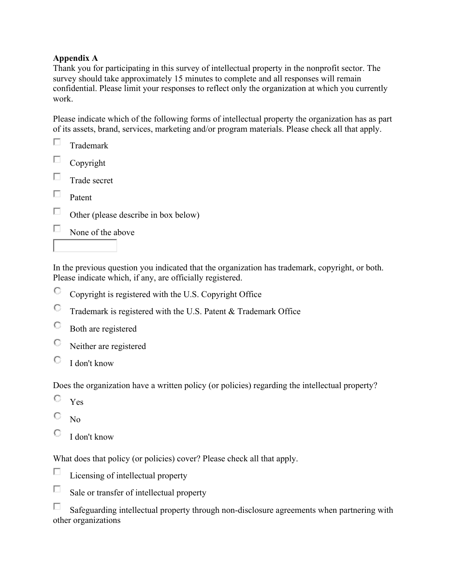# **Appendix A**

Thank you for participating in this survey of intellectual property in the nonprofit sector. The survey should take approximately 15 minutes to complete and all responses will remain confidential. Please limit your responses to reflect only the organization at which you currently work.

Please indicate which of the following forms of intellectual property the organization has as part of its assets, brand, services, marketing and/or program materials. Please check all that apply.

|        | Trademark                            |
|--------|--------------------------------------|
| $\Box$ | Copyright                            |
|        | Trade secret                         |
|        | Patent                               |
| ш      | Other (please describe in box below) |
|        | None of the above                    |
|        |                                      |

In the previous question you indicated that the organization has trademark, copyright, or both. Please indicate which, if any, are officially registered.

- О Copyright is registered with the U.S. Copyright Office
- $\mathbb{C}^-$ Trademark is registered with the U.S. Patent & Trademark Office
- O Both are registered
- O Neither are registered
- 0 I don't know

Does the organization have a written policy (or policies) regarding the intellectual property?

- О Yes
- О. No
- О. I don't know

What does that policy (or policies) cover? Please check all that apply.

- П Licensing of intellectual property
- П Sale or transfer of intellectual property

П Safeguarding intellectual property through non-disclosure agreements when partnering with other organizations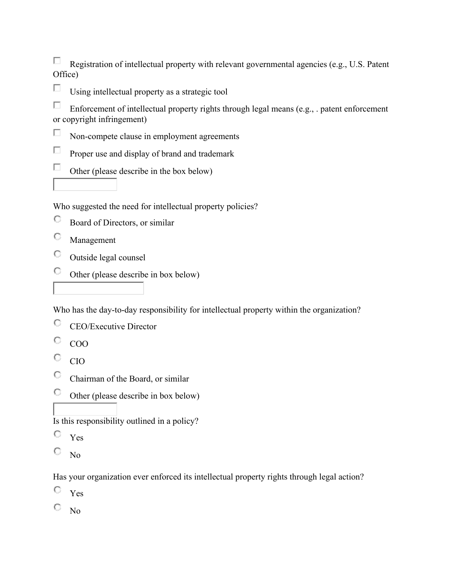П Registration of intellectual property with relevant governmental agencies (e.g., U.S. Patent Office)

П Using intellectual property as a strategic tool

П Enforcement of intellectual property rights through legal means (e.g., . patent enforcement or copyright infringement)

- П Non-compete clause in employment agreements
- П Proper use and display of brand and trademark
- $\Box$ Other (please describe in the box below)

Who suggested the need for intellectual property policies?

- О Board of Directors, or similar
- O Management
- О. Outside legal counsel
- $\bigcirc$ Other (please describe in box below)

Who has the day-to-day responsibility for intellectual property within the organization?

- O CEO/Executive Director
- O COO
- 0 CIO
- $\circ$ Chairman of the Board, or similar
- $\mathbb{C}^-$ Other (please describe in box below)

Is this responsibility outlined in a policy?

- O Yes
- О No

Has your organization ever enforced its intellectual property rights through legal action?

- O Yes
- о No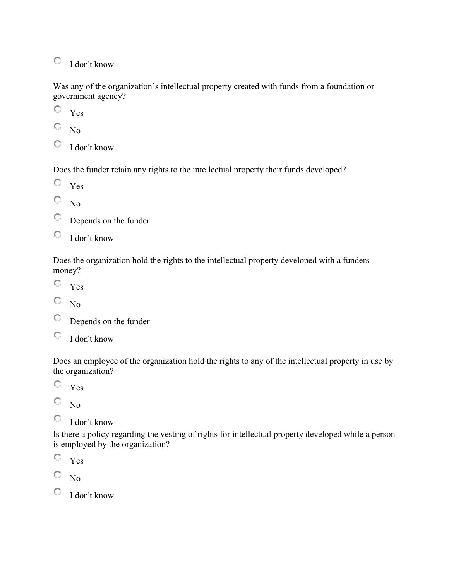$\bigcirc$  I don't know

Was any of the organization's intellectual property created with funds from a foundation or government agency?

 $\circ$ Yes

О No

 $\mathbb{C}$  I don't know

Does the funder retain any rights to the intellectual property their funds developed?

- O. Yes
- 0. No
- О Depends on the funder
- O I don't know

Does the organization hold the rights to the intellectual property developed with a funders money?

- О Yes
- 0. No
- O Depends on the funder
- O I don't know

Does an employee of the organization hold the rights to any of the intellectual property in use by the organization?

O Yes

О No

О I don't know

Is there a policy regarding the vesting of rights for intellectual property developed while a person is employed by the organization?

Yes

0. No

 $\bigcirc$  I don't know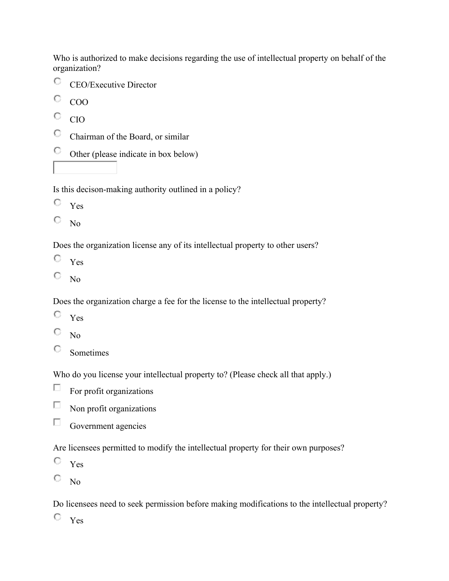Who is authorized to make decisions regarding the use of intellectual property on behalf of the organization?

O CEO/Executive Director

О. COO

- О. CIO
- $\mathbb{C}^-$ Chairman of the Board, or similar
- $\mathbb{C}$ Other (please indicate in box below)

Is this decison-making authority outlined in a policy?

- O Yes
- О No

Does the organization license any of its intellectual property to other users?

- 0. Yes
- 0. No

Does the organization charge a fee for the license to the intellectual property?

- $\mathbb{C}^-$ Yes
- 0. No
- 0. Sometimes

Who do you license your intellectual property to? (Please check all that apply.)

П For profit organizations

П Non profit organizations

 $\Box$ Government agencies

Are licensees permitted to modify the intellectual property for their own purposes?

- О Yes
- О. No

Do licensees need to seek permission before making modifications to the intellectual property?

 $\circ$   $Yes$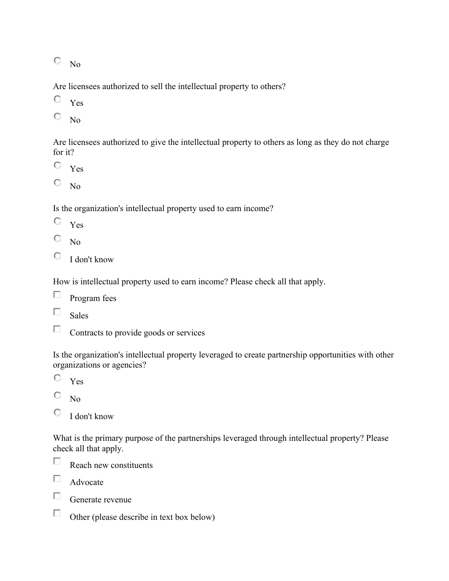$\overline{\mathbb{O}}$  No

Are licensees authorized to sell the intellectual property to others?

Yes

О No

Are licensees authorized to give the intellectual property to others as long as they do not charge for it?

- Yes
- 0. No

Is the organization's intellectual property used to earn income?

- O Yes
- 0. No
- O I don't know

How is intellectual property used to earn income? Please check all that apply.

- $\Box$ Program fees
- $\Box$ Sales
- П Contracts to provide goods or services

Is the organization's intellectual property leveraged to create partnership opportunities with other organizations or agencies?

- О. Yes
- О No
- О I don't know

What is the primary purpose of the partnerships leveraged through intellectual property? Please check all that apply.

П Reach new constituents

П. Advocate

 $\Box$ Generate revenue

 $\Box$ Other (please describe in text box below)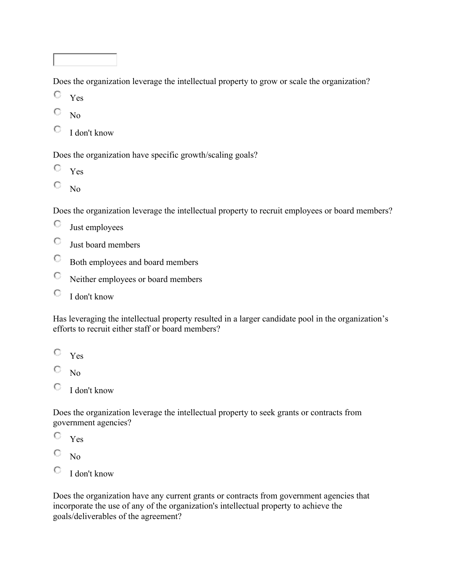Does the organization leverage the intellectual property to grow or scale the organization?

- О Yes
- О No
- $\begin{array}{cc} \n\mathbb{C} & I \n\end{array}$  don't know

Does the organization have specific growth/scaling goals?

- $\mathbb{C}^-$ Yes
- 0. No

Does the organization leverage the intellectual property to recruit employees or board members?

- О. Just employees
- О Just board members
- $\mathbb{C}^-$ Both employees and board members
- 0. Neither employees or board members
- 0. I don't know

Has leveraging the intellectual property resulted in a larger candidate pool in the organization's efforts to recruit either staff or board members?

- Yes
- О. No
- O I don't know

Does the organization leverage the intellectual property to seek grants or contracts from government agencies?

- О Yes
- О No
- О. I don't know

Does the organization have any current grants or contracts from government agencies that incorporate the use of any of the organization's intellectual property to achieve the goals/deliverables of the agreement?